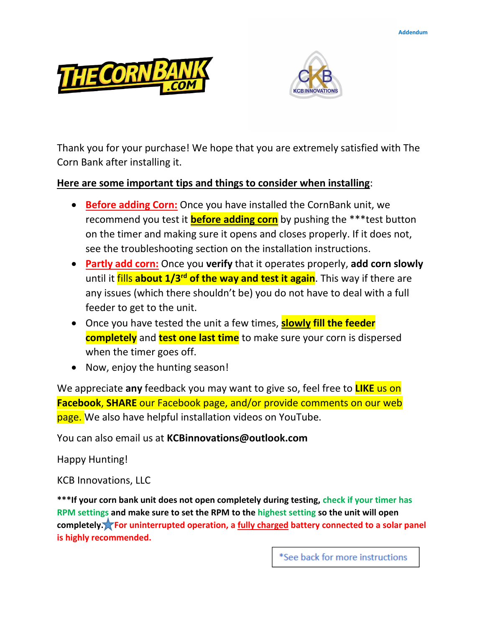



Thank you for your purchase! We hope that you are extremely satisfied with The Corn Bank after installing it.

### **Here are some important tips and things to consider when installing**:

- **Before adding Corn:** Once you have installed the CornBank unit, we recommend you test it **before adding corn** by pushing the \*\*\*test button on the timer and making sure it opens and closes properly. If it does not, see the troubleshooting section on the installation instructions.
- **Partly add corn:** Once you **verify** that it operates properly, **add corn slowly** until it fills **about 1/3rd of the way and test it again**. This way if there are any issues (which there shouldn't be) you do not have to deal with a full feeder to get to the unit.
- Once you have tested the unit a few times, **slowly fill the feeder completely** and **test one last time** to make sure your corn is dispersed when the timer goes off.
- Now, enjoy the hunting season!

We appreciate **any** feedback you may want to give so, feel free to **LIKE** us on **Facebook**, **SHARE** our Facebook page, and/or provide comments on our web page. We also have helpful installation videos on YouTube.

You can also email us at **KCBinnovations@outlook.com**

Happy Hunting!

KCB Innovations, LLC

**\*\*\*If your corn bank unit does not open completely during testing, check if your timer has RPM settings and make sure to set the RPM to the highest setting so the unit will open completely. For uninterrupted operation, a fully charged battery connected to a solar panel is highly recommended.**

\*See back for more instructions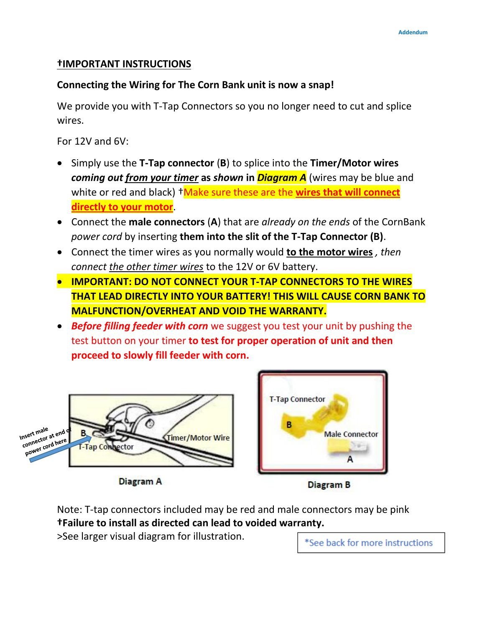### **†IMPORTANT INSTRUCTIONS**

# **Connecting the Wiring for The Corn Bank unit is now a snap!**

We provide you with T-Tap Connectors so you no longer need to cut and splice wires.

For 12V and 6V:

- Simply use the **T-Tap connector** (**B**) to splice into the **Timer/Motor wires**  *coming out from your timer* **as** *shown* **in** *Diagram A* (wires may be blue and white or red and black) <sup>+</sup>Make sure these are the wires that will connect **directly to your motor**.
- Connect the **male connectors** (**A**) that are *already on the ends* of the CornBank *power cord* by inserting **them into the slit of the T-Tap Connector (B)**.
- Connect the timer wires as you normally would **to the motor wires** *, then connect the other timer wires* to the 12V or 6V battery.
- **IMPORTANT: DO NOT CONNECT YOUR T-TAP CONNECTORS TO THE WIRES THAT LEAD DIRECTLY INTO YOUR BATTERY! THIS WILL CAUSE CORN BANK TO MALFUNCTION/OVERHEAT AND VOID THE WARRANTY.**
- *Before filling feeder with corn* we suggest you test your unit by pushing the test button on your timer **to test for proper operation of unit and then proceed to slowly fill feeder with corn.**



**Diagram A** 



**Diagram B** 

Note: T-tap connectors included may be red and male connectors may be pink **†Failure to install as directed can lead to voided warranty.**

>See larger visual diagram for illustration.

\*See back for more instructions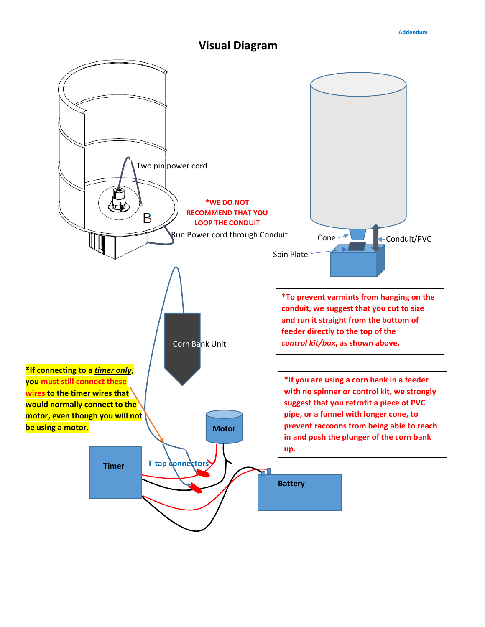# **Visual Diagram**